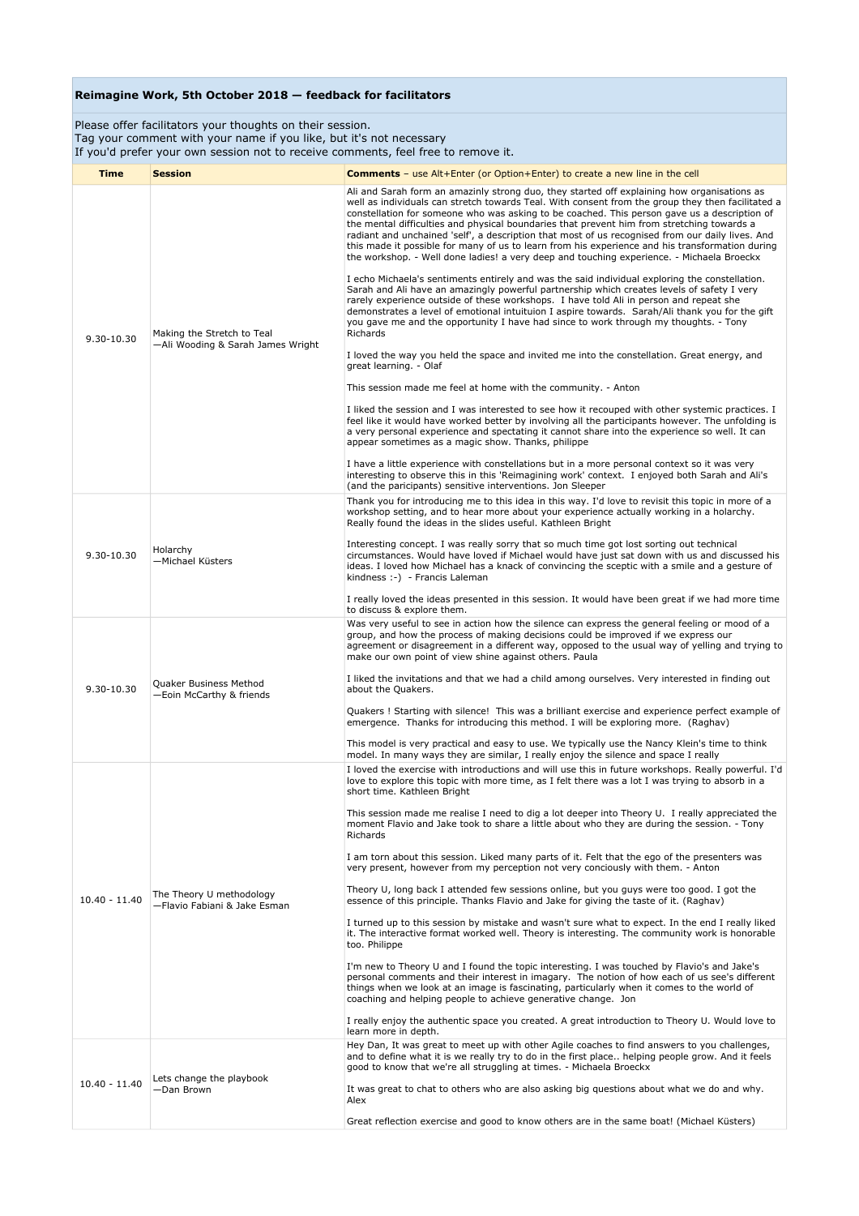Please offer facilitators your thoughts on their session. Tag your comment with your name if you like, but it's not necessary If you'd prefer your own session not to receive comments, feel free to remove it.

| <b>Time</b>     | <b>Session</b>                                                  | <b>Comments</b> - use Alt+Enter (or Option+Enter) to create a new line in the cell                                                                                                                                                                                                                                                                                                                                                                                                                                                                                                                                                                                                                                                                                                                                                                                                                                                                                                                                                                                                                                                                                                                                                                                                                                                                                                                                                                                                                                                                                                                                                                                                                                                                                                                                                                                                                                                                                                                                                   |
|-----------------|-----------------------------------------------------------------|--------------------------------------------------------------------------------------------------------------------------------------------------------------------------------------------------------------------------------------------------------------------------------------------------------------------------------------------------------------------------------------------------------------------------------------------------------------------------------------------------------------------------------------------------------------------------------------------------------------------------------------------------------------------------------------------------------------------------------------------------------------------------------------------------------------------------------------------------------------------------------------------------------------------------------------------------------------------------------------------------------------------------------------------------------------------------------------------------------------------------------------------------------------------------------------------------------------------------------------------------------------------------------------------------------------------------------------------------------------------------------------------------------------------------------------------------------------------------------------------------------------------------------------------------------------------------------------------------------------------------------------------------------------------------------------------------------------------------------------------------------------------------------------------------------------------------------------------------------------------------------------------------------------------------------------------------------------------------------------------------------------------------------------|
| $9.30 - 10.30$  | Making the Stretch to Teal<br>-Ali Wooding & Sarah James Wright | Ali and Sarah form an amazinly strong duo, they started off explaining how organisations as<br>well as individuals can stretch towards Teal. With consent from the group they then facilitated a<br>constellation for someone who was asking to be coached. This person gave us a description of<br>the mental difficulties and physical boundaries that prevent him from stretching towards a<br>radiant and unchained 'self', a description that most of us recognised from our daily lives. And<br>this made it possible for many of us to learn from his experience and his transformation during<br>the workshop. - Well done ladies! a very deep and touching experience. - Michaela Broeckx<br>I echo Michaela's sentiments entirely and was the said individual exploring the constellation.<br>Sarah and Ali have an amazingly powerful partnership which creates levels of safety I very<br>rarely experience outside of these workshops. I have told Ali in person and repeat she<br>demonstrates a level of emotional intuituion I aspire towards. Sarah/Ali thank you for the gift<br>you gave me and the opportunity I have had since to work through my thoughts. - Tony<br><b>Richards</b><br>I loved the way you held the space and invited me into the constellation. Great energy, and<br>great learning. - Olaf<br>This session made me feel at home with the community. - Anton<br>I liked the session and I was interested to see how it recouped with other systemic practices. I<br>feel like it would have worked better by involving all the participants however. The unfolding is<br>a very personal experience and spectating it cannot share into the experience so well. It can<br>appear sometimes as a magic show. Thanks, philippe<br>I have a little experience with constellations but in a more personal context so it was very<br>interesting to observe this in this 'Reimagining work' context. I enjoyed both Sarah and Ali's<br>(and the paricipants) sensitive interventions. Jon Sleeper |
| 9.30-10.30      | Holarchy<br>-Michael Küsters                                    | Thank you for introducing me to this idea in this way. I'd love to revisit this topic in more of a<br>workshop setting, and to hear more about your experience actually working in a holarchy.<br>Really found the ideas in the slides useful. Kathleen Bright<br>Interesting concept. I was really sorry that so much time got lost sorting out technical<br>circumstances. Would have loved if Michael would have just sat down with us and discussed his<br>ideas. I loved how Michael has a knack of convincing the sceptic with a smile and a gesture of<br>kindness :-) - Francis Laleman<br>I really loved the ideas presented in this session. It would have been great if we had more time<br>to discuss & explore them.                                                                                                                                                                                                                                                                                                                                                                                                                                                                                                                                                                                                                                                                                                                                                                                                                                                                                                                                                                                                                                                                                                                                                                                                                                                                                                    |
| 9.30-10.30      | Quaker Business Method<br>-Eoin McCarthy & friends              | Was very useful to see in action how the silence can express the general feeling or mood of a<br>group, and how the process of making decisions could be improved if we express our<br>agreement or disagreement in a different way, opposed to the usual way of yelling and trying to<br>make our own point of view shine against others. Paula<br>I liked the invitations and that we had a child among ourselves. Very interested in finding out<br>about the Quakers.<br>Quakers ! Starting with silence! This was a brilliant exercise and experience perfect example of<br>emergence. Thanks for introducing this method. I will be exploring more. (Raghav)<br>This model is very practical and easy to use. We typically use the Nancy Klein's time to think<br>model. In many ways they are similar, I really enjoy the silence and space I really                                                                                                                                                                                                                                                                                                                                                                                                                                                                                                                                                                                                                                                                                                                                                                                                                                                                                                                                                                                                                                                                                                                                                                          |
| $10.40 - 11.40$ | The Theory U methodology<br>-Flavio Fabiani & Jake Esman        | I loved the exercise with introductions and will use this in future workshops. Really powerful. I'd<br>love to explore this topic with more time, as I felt there was a lot I was trying to absorb in a<br>short time. Kathleen Bright<br>This session made me realise I need to dig a lot deeper into Theory U. I really appreciated the<br>moment Flavio and Jake took to share a little about who they are during the session. - Tony<br>Richards<br>I am torn about this session. Liked many parts of it. Felt that the ego of the presenters was<br>very present, however from my perception not very conciously with them. - Anton<br>Theory U, long back I attended few sessions online, but you guys were too good. I got the<br>essence of this principle. Thanks Flavio and Jake for giving the taste of it. (Raghav)<br>I turned up to this session by mistake and wasn't sure what to expect. In the end I really liked<br>it. The interactive format worked well. Theory is interesting. The community work is honorable<br>too. Philippe<br>I'm new to Theory U and I found the topic interesting. I was touched by Flavio's and Jake's<br>personal comments and their interest in imagary. The notion of how each of us see's different<br>things when we look at an image is fascinating, particularly when it comes to the world of<br>coaching and helping people to achieve generative change. Jon<br>I really enjoy the authentic space you created. A great introduction to Theory U. Would love to<br>learn more in depth.                                                                                                                                                                                                                                                                                                                                                                                                                                                                                     |
| $10.40 - 11.40$ | Lets change the playbook<br>-Dan Brown                          | Hey Dan, It was great to meet up with other Agile coaches to find answers to you challenges,<br>and to define what it is we really try to do in the first place helping people grow. And it feels<br>good to know that we're all struggling at times. - Michaela Broeckx<br>It was great to chat to others who are also asking big questions about what we do and why.<br>Alex<br>Great reflection exercise and good to know others are in the same boat! (Michael Küsters)                                                                                                                                                                                                                                                                                                                                                                                                                                                                                                                                                                                                                                                                                                                                                                                                                                                                                                                                                                                                                                                                                                                                                                                                                                                                                                                                                                                                                                                                                                                                                          |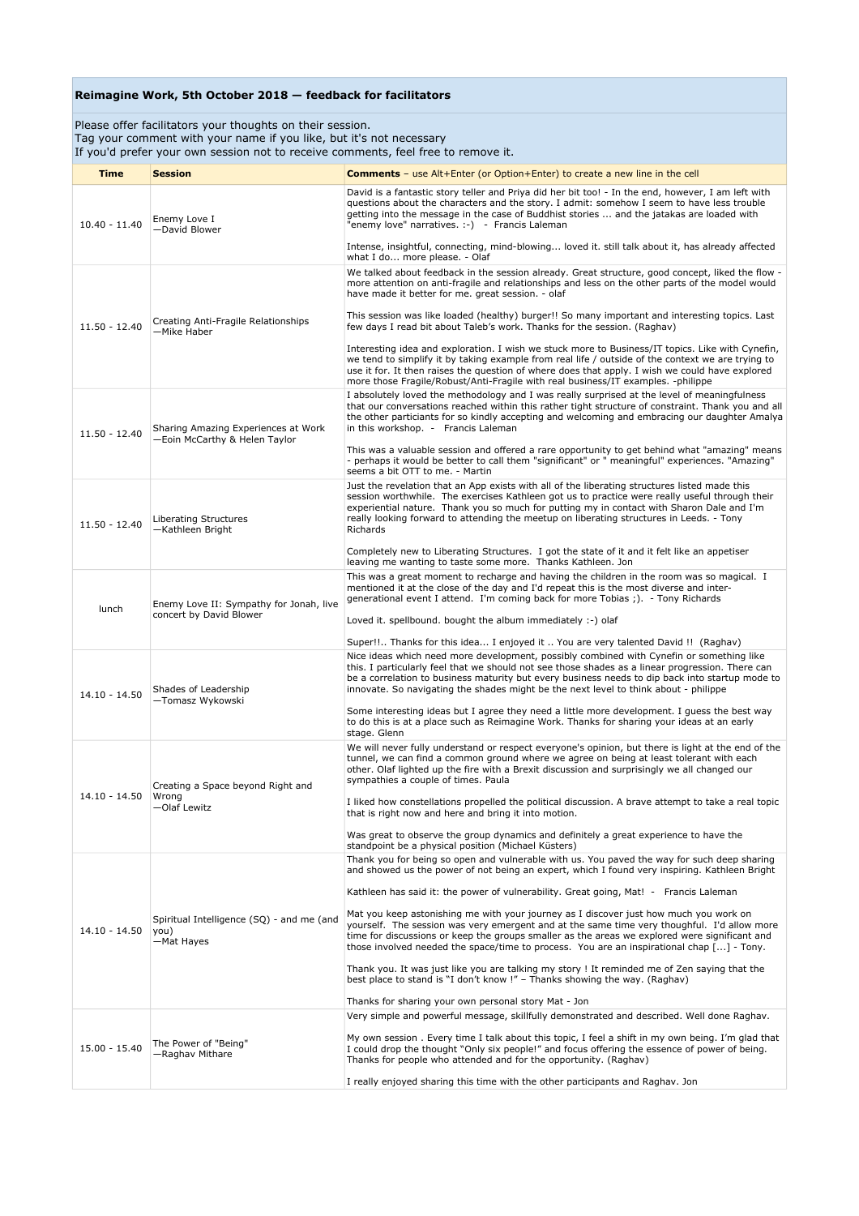Please offer facilitators your thoughts on their session. Tag your comment with your name if you like, but it's not necessary

If you'd prefer your own session not to receive comments, feel free to remove it.

| Time            | <b>Session</b>                                                       | <b>Comments</b> – use Alt+Enter (or Option+Enter) to create a new line in the cell                                                                                                                                                                                                                                                                                                                                                          |
|-----------------|----------------------------------------------------------------------|---------------------------------------------------------------------------------------------------------------------------------------------------------------------------------------------------------------------------------------------------------------------------------------------------------------------------------------------------------------------------------------------------------------------------------------------|
|                 |                                                                      | David is a fantastic story teller and Priya did her bit too! - In the end, however, I am left with                                                                                                                                                                                                                                                                                                                                          |
| $10.40 - 11.40$ | Enemy Love I<br>-David Blower                                        | questions about the characters and the story. I admit: somehow I seem to have less trouble<br>getting into the message in the case of Buddhist stories  and the jatakas are loaded with<br>"enemy love" narratives. :-) - Francis Laleman                                                                                                                                                                                                   |
|                 |                                                                      | Intense, insightful, connecting, mind-blowing loved it. still talk about it, has already affected<br>what I do more please. - Olaf                                                                                                                                                                                                                                                                                                          |
| 11.50 - 12.40   | Creating Anti-Fragile Relationships<br>-Mike Haber                   | We talked about feedback in the session already. Great structure, good concept, liked the flow -<br>more attention on anti-fragile and relationships and less on the other parts of the model would<br>have made it better for me. great session. - olaf<br>This session was like loaded (healthy) burger!! So many important and interesting topics. Last                                                                                  |
|                 |                                                                      | few days I read bit about Taleb's work. Thanks for the session. (Raghav)<br>Interesting idea and exploration. I wish we stuck more to Business/IT topics. Like with Cynefin,                                                                                                                                                                                                                                                                |
|                 |                                                                      | we tend to simplify it by taking example from real life / outside of the context we are trying to<br>use it for. It then raises the question of where does that apply. I wish we could have explored<br>more those Fragile/Robust/Anti-Fragile with real business/IT examples. -philippe                                                                                                                                                    |
| $11.50 - 12.40$ | Sharing Amazing Experiences at Work<br>-Eoin McCarthy & Helen Taylor | I absolutely loved the methodology and I was really surprised at the level of meaningfulness<br>that our conversations reached within this rather tight structure of constraint. Thank you and all<br>the other particiants for so kindly accepting and welcoming and embracing our daughter Amalya<br>in this workshop. - Francis Laleman<br>This was a valuable session and offered a rare opportunity to get behind what "amazing" means |
|                 |                                                                      | - perhaps it would be better to call them "significant" or " meaningful" experiences. "Amazing"<br>seems a bit OTT to me. - Martin                                                                                                                                                                                                                                                                                                          |
| $11.50 - 12.40$ | Liberating Structures<br>-Kathleen Bright                            | Just the revelation that an App exists with all of the liberating structures listed made this<br>session worthwhile. The exercises Kathleen got us to practice were really useful through their<br>experiential nature. Thank you so much for putting my in contact with Sharon Dale and I'm<br>really looking forward to attending the meetup on liberating structures in Leeds. - Tony<br>Richards                                        |
|                 |                                                                      | Completely new to Liberating Structures. I got the state of it and it felt like an appetiser<br>leaving me wanting to taste some more. Thanks Kathleen. Jon                                                                                                                                                                                                                                                                                 |
| lunch           | Enemy Love II: Sympathy for Jonah, live<br>concert by David Blower   | This was a great moment to recharge and having the children in the room was so magical. I<br>mentioned it at the close of the day and I'd repeat this is the most diverse and inter-<br>generational event I attend. I'm coming back for more Tobias;). - Tony Richards<br>Loved it. spellbound. bought the album immediately :-) olaf                                                                                                      |
|                 |                                                                      | Super!! Thanks for this idea I enjoyed it  You are very talented David !! (Raghav)                                                                                                                                                                                                                                                                                                                                                          |
| $14.10 - 14.50$ | Shades of Leadership<br>-Tomasz Wykowski                             | Nice ideas which need more development, possibly combined with Cynefin or something like<br>this. I particularly feel that we should not see those shades as a linear progression. There can<br>be a correlation to business maturity but every business needs to dip back into startup mode to<br>innovate. So navigating the shades might be the next level to think about - philippe                                                     |
|                 |                                                                      | Some interesting ideas but I agree they need a little more development. I guess the best way<br>to do this is at a place such as Reimagine Work. Thanks for sharing your ideas at an early<br>stage. Glenn                                                                                                                                                                                                                                  |
| 14.10 - 14.50   | Creating a Space beyond Right and<br>Wrong<br>-Olaf Lewitz           | We will never fully understand or respect everyone's opinion, but there is light at the end of the<br>tunnel, we can find a common ground where we agree on being at least tolerant with each<br>other. Olaf lighted up the fire with a Brexit discussion and surprisingly we all changed our<br>sympathies a couple of times. Paula                                                                                                        |
|                 |                                                                      | I liked how constellations propelled the political discussion. A brave attempt to take a real topic<br>that is right now and here and bring it into motion.                                                                                                                                                                                                                                                                                 |
|                 |                                                                      | Was great to observe the group dynamics and definitely a great experience to have the<br>standpoint be a physical position (Michael Küsters)                                                                                                                                                                                                                                                                                                |
|                 | Spiritual Intelligence (SQ) - and me (and<br>you)<br>-Mat Hayes      | Thank you for being so open and vulnerable with us. You paved the way for such deep sharing<br>and showed us the power of not being an expert, which I found very inspiring. Kathleen Bright                                                                                                                                                                                                                                                |
|                 |                                                                      | Kathleen has said it: the power of vulnerability. Great going, Mat! - Francis Laleman                                                                                                                                                                                                                                                                                                                                                       |
| 14.10 - 14.50   |                                                                      | Mat you keep astonishing me with your journey as I discover just how much you work on<br>yourself. The session was very emergent and at the same time very thoughful. I'd allow more<br>time for discussions or keep the groups smaller as the areas we explored were significant and<br>those involved needed the space/time to process. You are an inspirational chap [] - Tony.                                                          |
|                 |                                                                      | Thank you. It was just like you are talking my story ! It reminded me of Zen saying that the<br>best place to stand is "I don't know !" - Thanks showing the way. (Raghav)                                                                                                                                                                                                                                                                  |
|                 |                                                                      | Thanks for sharing your own personal story Mat - Jon                                                                                                                                                                                                                                                                                                                                                                                        |
| $15.00 - 15.40$ | The Power of "Being"<br>-Raghav Mithare                              | Very simple and powerful message, skillfully demonstrated and described. Well done Raghav.                                                                                                                                                                                                                                                                                                                                                  |
|                 |                                                                      | My own session. Every time I talk about this topic, I feel a shift in my own being. I'm glad that<br>I could drop the thought "Only six people!" and focus offering the essence of power of being.<br>Thanks for people who attended and for the opportunity. (Raghav)                                                                                                                                                                      |
|                 |                                                                      | I really enjoyed sharing this time with the other participants and Raghav. Jon                                                                                                                                                                                                                                                                                                                                                              |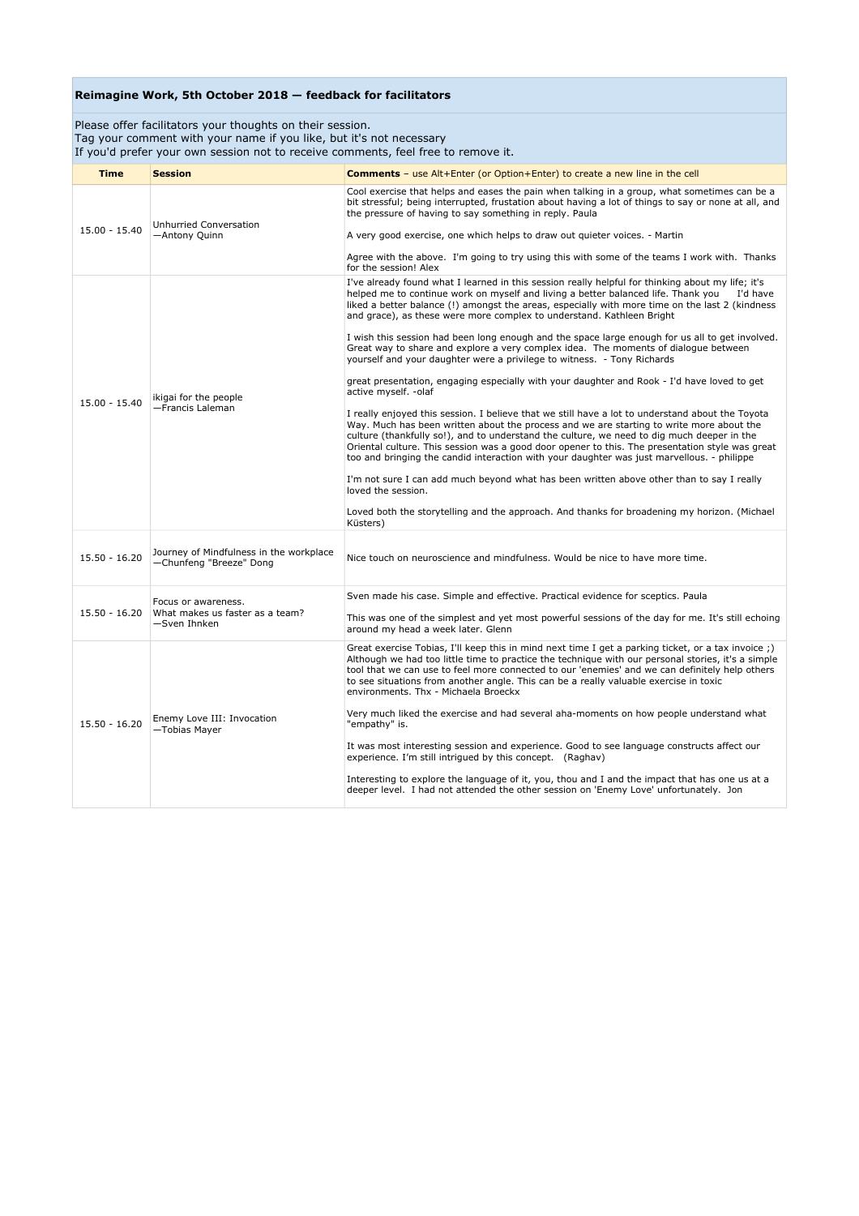Please offer facilitators your thoughts on their session. Tag your comment with your name if you like, but it's not necessary

If you'd prefer your own session not to receive comments, feel free to remove it.

| <b>Time</b>     | <b>Session</b>                                                         | <b>Comments</b> - use Alt+Enter (or Option+Enter) to create a new line in the cell                                                                                                                                                                                                                                                                                                                                                                                                                                                                                                                                                                                                                                                                                                                                                                                                                                                                                                                                                                                                                                                                                                                                                                                                                                                                                                                                                                                                                        |
|-----------------|------------------------------------------------------------------------|-----------------------------------------------------------------------------------------------------------------------------------------------------------------------------------------------------------------------------------------------------------------------------------------------------------------------------------------------------------------------------------------------------------------------------------------------------------------------------------------------------------------------------------------------------------------------------------------------------------------------------------------------------------------------------------------------------------------------------------------------------------------------------------------------------------------------------------------------------------------------------------------------------------------------------------------------------------------------------------------------------------------------------------------------------------------------------------------------------------------------------------------------------------------------------------------------------------------------------------------------------------------------------------------------------------------------------------------------------------------------------------------------------------------------------------------------------------------------------------------------------------|
| $15.00 - 15.40$ | Unhurried Conversation<br>-Antony Quinn                                | Cool exercise that helps and eases the pain when talking in a group, what sometimes can be a<br>bit stressful; being interrupted, frustation about having a lot of things to say or none at all, and<br>the pressure of having to say something in reply. Paula<br>A very good exercise, one which helps to draw out quieter voices. - Martin<br>Agree with the above. I'm going to try using this with some of the teams I work with. Thanks<br>for the session! Alex                                                                                                                                                                                                                                                                                                                                                                                                                                                                                                                                                                                                                                                                                                                                                                                                                                                                                                                                                                                                                                    |
| $15.00 - 15.40$ | ikigai for the people<br>-Francis Laleman                              | I've already found what I learned in this session really helpful for thinking about my life; it's<br>helped me to continue work on myself and living a better balanced life. Thank you<br>I'd have<br>liked a better balance (!) amongst the areas, especially with more time on the last 2 (kindness<br>and grace), as these were more complex to understand. Kathleen Bright<br>I wish this session had been long enough and the space large enough for us all to get involved.<br>Great way to share and explore a very complex idea. The moments of dialogue between<br>yourself and your daughter were a privilege to witness. - Tony Richards<br>great presentation, engaging especially with your daughter and Rook - I'd have loved to get<br>active myself. - olaf<br>I really enjoyed this session. I believe that we still have a lot to understand about the Toyota<br>Way. Much has been written about the process and we are starting to write more about the<br>culture (thankfully so!), and to understand the culture, we need to dig much deeper in the<br>Oriental culture. This session was a good door opener to this. The presentation style was great<br>too and bringing the candid interaction with your daughter was just marvellous. - philippe<br>I'm not sure I can add much beyond what has been written above other than to say I really<br>loved the session.<br>Loved both the storytelling and the approach. And thanks for broadening my horizon. (Michael<br>Küsters) |
| $15.50 - 16.20$ | Journey of Mindfulness in the workplace<br>-Chunfeng "Breeze" Dong     | Nice touch on neuroscience and mindfulness. Would be nice to have more time.                                                                                                                                                                                                                                                                                                                                                                                                                                                                                                                                                                                                                                                                                                                                                                                                                                                                                                                                                                                                                                                                                                                                                                                                                                                                                                                                                                                                                              |
| $15.50 - 16.20$ | Focus or awareness.<br>What makes us faster as a team?<br>-Sven Ihnken | Sven made his case. Simple and effective. Practical evidence for sceptics. Paula<br>This was one of the simplest and yet most powerful sessions of the day for me. It's still echoing<br>around my head a week later. Glenn                                                                                                                                                                                                                                                                                                                                                                                                                                                                                                                                                                                                                                                                                                                                                                                                                                                                                                                                                                                                                                                                                                                                                                                                                                                                               |
| $15.50 - 16.20$ | Enemy Love III: Invocation<br>-Tobias Mayer                            | Great exercise Tobias, I'll keep this in mind next time I get a parking ticket, or a tax invoice ;)<br>Although we had too little time to practice the technique with our personal stories, it's a simple<br>tool that we can use to feel more connected to our 'enemies' and we can definitely help others<br>to see situations from another angle. This can be a really valuable exercise in toxic<br>environments. Thx - Michaela Broeckx<br>Very much liked the exercise and had several aha-moments on how people understand what<br>"empathy" is.<br>It was most interesting session and experience. Good to see language constructs affect our<br>experience. I'm still intriqued by this concept. (Raghav)<br>Interesting to explore the language of it, you, thou and I and the impact that has one us at a<br>deeper level. I had not attended the other session on 'Enemy Love' unfortunately. Jon                                                                                                                                                                                                                                                                                                                                                                                                                                                                                                                                                                                             |